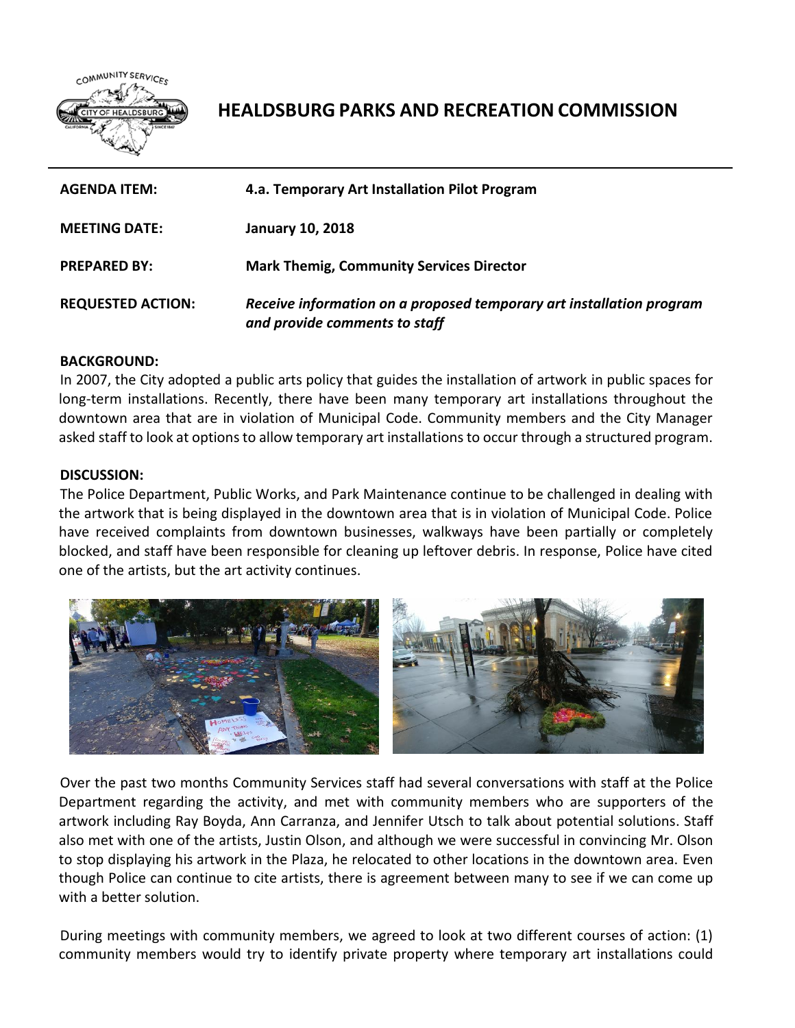

# **HEALDSBURG PARKS AND RECREATION COMMISSION**

| <b>AGENDA ITEM:</b>      | 4.a. Temporary Art Installation Pilot Program                                                         |
|--------------------------|-------------------------------------------------------------------------------------------------------|
| <b>MEETING DATE:</b>     | <b>January 10, 2018</b>                                                                               |
| <b>PREPARED BY:</b>      | <b>Mark Themig, Community Services Director</b>                                                       |
| <b>REQUESTED ACTION:</b> | Receive information on a proposed temporary art installation program<br>and provide comments to staff |

#### **BACKGROUND:**

In 2007, the City adopted a public arts policy that guides the installation of artwork in public spaces for long-term installations. Recently, there have been many temporary art installations throughout the downtown area that are in violation of Municipal Code. Community members and the City Manager asked staff to look at options to allow temporary art installations to occur through a structured program.

#### **DISCUSSION:**

The Police Department, Public Works, and Park Maintenance continue to be challenged in dealing with the artwork that is being displayed in the downtown area that is in violation of Municipal Code. Police have received complaints from downtown businesses, walkways have been partially or completely blocked, and staff have been responsible for cleaning up leftover debris. In response, Police have cited one of the artists, but the art activity continues.



Over the past two months Community Services staff had several conversations with staff at the Police Department regarding the activity, and met with community members who are supporters of the artwork including Ray Boyda, Ann Carranza, and Jennifer Utsch to talk about potential solutions. Staff also met with one of the artists, Justin Olson, and although we were successful in convincing Mr. Olson to stop displaying his artwork in the Plaza, he relocated to other locations in the downtown area. Even though Police can continue to cite artists, there is agreement between many to see if we can come up with a better solution.

During meetings with community members, we agreed to look at two different courses of action: (1) community members would try to identify private property where temporary art installations could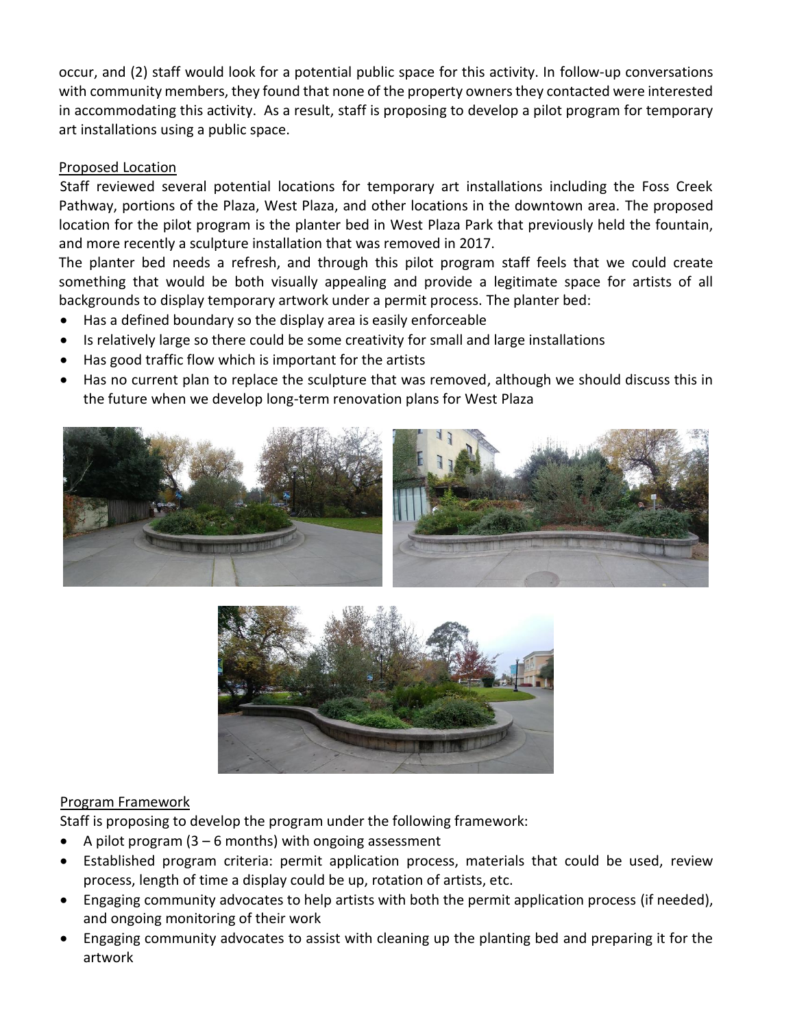occur, and (2) staff would look for a potential public space for this activity. In follow-up conversations with community members, they found that none of the property owners they contacted were interested in accommodating this activity. As a result, staff is proposing to develop a pilot program for temporary art installations using a public space.

### Proposed Location

Staff reviewed several potential locations for temporary art installations including the Foss Creek Pathway, portions of the Plaza, West Plaza, and other locations in the downtown area. The proposed location for the pilot program is the planter bed in West Plaza Park that previously held the fountain, and more recently a sculpture installation that was removed in 2017.

The planter bed needs a refresh, and through this pilot program staff feels that we could create something that would be both visually appealing and provide a legitimate space for artists of all backgrounds to display temporary artwork under a permit process. The planter bed:

- Has a defined boundary so the display area is easily enforceable
- Is relatively large so there could be some creativity for small and large installations
- Has good traffic flow which is important for the artists
- Has no current plan to replace the sculpture that was removed, although we should discuss this in the future when we develop long-term renovation plans for West Plaza





### Program Framework

Staff is proposing to develop the program under the following framework:

- A pilot program  $(3 6$  months) with ongoing assessment
- Established program criteria: permit application process, materials that could be used, review process, length of time a display could be up, rotation of artists, etc.
- Engaging community advocates to help artists with both the permit application process (if needed), and ongoing monitoring of their work
- Engaging community advocates to assist with cleaning up the planting bed and preparing it for the artwork